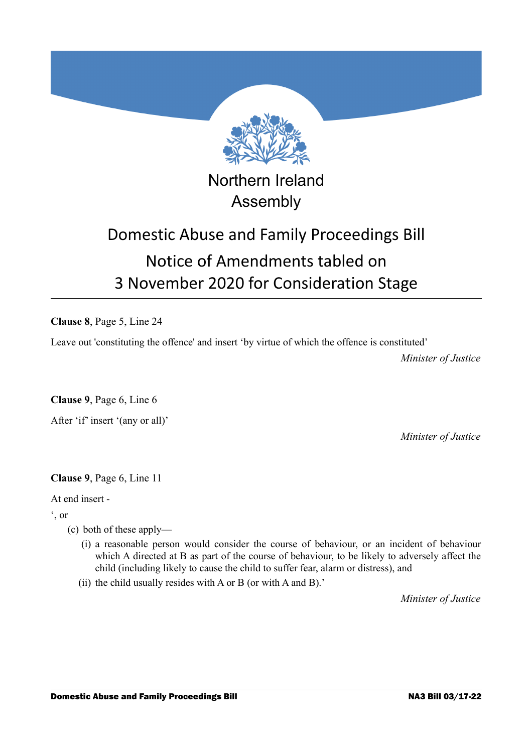

## Northern Ireland Assembly

# Domestic Abuse and Family Proceedings Bill Notice of Amendments tabled on 3 November 2020 for Consideration Stage

**Clause 8**, Page 5, Line 24

Leave out 'constituting the offence' and insert 'by virtue of which the offence is constituted'

*Minister of Justice*

**Clause 9**, Page 6, Line 6

After 'if' insert '(any or all)'

*Minister of Justice*

**Clause 9**, Page 6, Line 11

At end insert -

', or

- (c) both of these apply—
	- (i) a reasonable person would consider the course of behaviour, or an incident of behaviour which A directed at B as part of the course of behaviour, to be likely to adversely affect the child (including likely to cause the child to suffer fear, alarm or distress), and
	- (ii) the child usually resides with A or B (or with A and B).'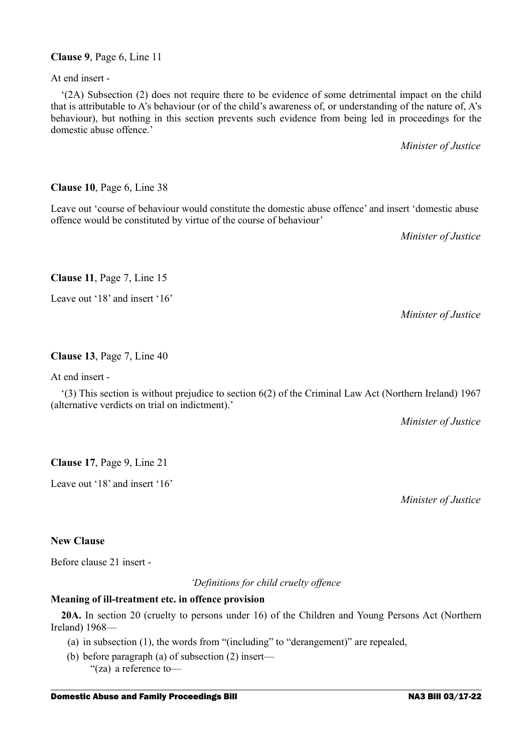### **Clause 9**, Page 6, Line 11

At end insert -

'(2A) Subsection (2) does not require there to be evidence of some detrimental impact on the child that is attributable to A's behaviour (or of the child's awareness of, or understanding of the nature of, A's behaviour), but nothing in this section prevents such evidence from being led in proceedings for the domestic abuse offence.'

*Minister of Justice*

## **Clause 10**, Page 6, Line 38

Leave out 'course of behaviour would constitute the domestic abuse offence' and insert 'domestic abuse offence would be constituted by virtue of the course of behaviour'

*Minister of Justice*

*Minister of Justice*

## **Clause 11**, Page 7, Line 15

Leave out '18' and insert '16'

## **Clause 13**, Page 7, Line 40

At end insert -

'(3) This section is without prejudice to section 6(2) of the Criminal Law Act (Northern Ireland) 1967 (alternative verdicts on trial on indictment).'

*Minister of Justice*

**Clause 17**, Page 9, Line 21

Leave out '18' and insert '16'

*Minister of Justice*

## **New Clause**

Before clause 21 insert -

*'Definitions for child cruelty offence*

### **Meaning of ill-treatment etc. in offence provision**

**20A.** In section 20 (cruelty to persons under 16) of the Children and Young Persons Act (Northern Ireland) 1968—

- (a) in subsection (1), the words from "(including" to "derangement)" are repealed,
- (b) before paragraph (a) of subsection (2) insert— "(za) a reference to—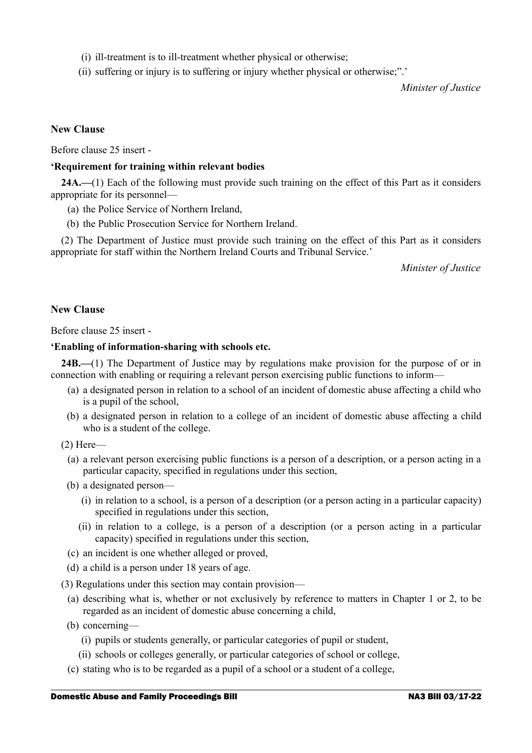- (i) ill-treatment is to ill-treatment whether physical or otherwise;
- (ii) suffering or injury is to suffering or injury whether physical or otherwise;".'

*Minister of Justice*

#### **New Clause**

Before clause 25 insert -

#### **'Requirement for training within relevant bodies**

**24A.—**(1) Each of the following must provide such training on the effect of this Part as it considers appropriate for its personnel—

- (a) the Police Service of Northern Ireland,
- (b) the Public Prosecution Service for Northern Ireland.

(2) The Department of Justice must provide such training on the effect of this Part as it considers appropriate for staff within the Northern Ireland Courts and Tribunal Service.'

*Minister of Justice*

#### **New Clause**

Before clause 25 insert -

#### **'Enabling of information-sharing with schools etc.**

**24B.—**(1) The Department of Justice may by regulations make provision for the purpose of or in connection with enabling or requiring a relevant person exercising public functions to inform—

- (a) a designated person in relation to a school of an incident of domestic abuse affecting a child who is a pupil of the school,
- (b) a designated person in relation to a college of an incident of domestic abuse affecting a child who is a student of the college.

(2) Here—

- (a) a relevant person exercising public functions is a person of a description, or a person acting in a particular capacity, specified in regulations under this section,
- (b) a designated person—
	- (i) in relation to a school, is a person of a description (or a person acting in a particular capacity) specified in regulations under this section,
	- (ii) in relation to a college, is a person of a description (or a person acting in a particular capacity) specified in regulations under this section,
- (c) an incident is one whether alleged or proved,
- (d) a child is a person under 18 years of age.
- (3) Regulations under this section may contain provision—
	- (a) describing what is, whether or not exclusively by reference to matters in Chapter 1 or 2, to be regarded as an incident of domestic abuse concerning a child,
	- (b) concerning—
		- (i) pupils or students generally, or particular categories of pupil or student,
		- (ii) schools or colleges generally, or particular categories of school or college,
	- (c) stating who is to be regarded as a pupil of a school or a student of a college,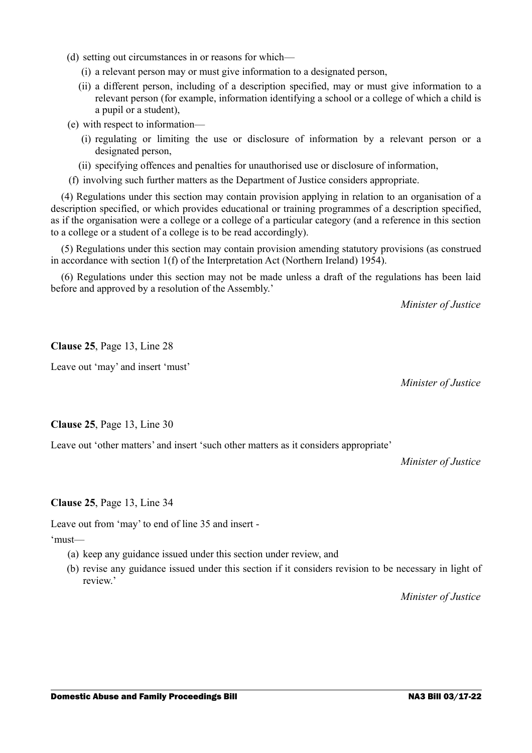- (d) setting out circumstances in or reasons for which—
	- (i) a relevant person may or must give information to a designated person,
	- (ii) a different person, including of a description specified, may or must give information to a relevant person (for example, information identifying a school or a college of which a child is a pupil or a student),
- (e) with respect to information—
	- (i) regulating or limiting the use or disclosure of information by a relevant person or a designated person,
	- (ii) specifying offences and penalties for unauthorised use or disclosure of information,
- (f) involving such further matters as the Department of Justice considers appropriate.

(4) Regulations under this section may contain provision applying in relation to an organisation of a description specified, or which provides educational or training programmes of a description specified, as if the organisation were a college or a college of a particular category (and a reference in this section to a college or a student of a college is to be read accordingly).

(5) Regulations under this section may contain provision amending statutory provisions (as construed in accordance with section 1(f) of the Interpretation Act (Northern Ireland) 1954).

(6) Regulations under this section may not be made unless a draft of the regulations has been laid before and approved by a resolution of the Assembly.'

*Minister of Justice*

**Clause 25**, Page 13, Line 28

Leave out 'may' and insert 'must'

*Minister of Justice*

**Clause 25**, Page 13, Line 30

Leave out 'other matters' and insert 'such other matters as it considers appropriate'

*Minister of Justice*

**Clause 25**, Page 13, Line 34

Leave out from 'may' to end of line 35 and insert -

'must—

- (a) keep any guidance issued under this section under review, and
- (b) revise any guidance issued under this section if it considers revision to be necessary in light of review.'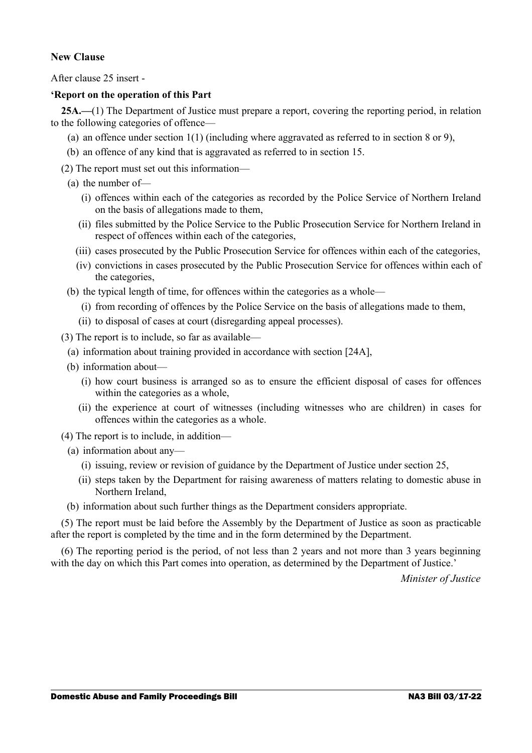#### **New Clause**

After clause 25 insert -

#### **'Report on the operation of this Part**

**25A.—**(1) The Department of Justice must prepare a report, covering the reporting period, in relation to the following categories of offence—

- (a) an offence under section  $1(1)$  (including where aggravated as referred to in section 8 or 9),
- (b) an offence of any kind that is aggravated as referred to in section 15.
- (2) The report must set out this information—
	- (a) the number of—
		- (i) offences within each of the categories as recorded by the Police Service of Northern Ireland on the basis of allegations made to them,
		- (ii) files submitted by the Police Service to the Public Prosecution Service for Northern Ireland in respect of offences within each of the categories,
		- (iii) cases prosecuted by the Public Prosecution Service for offences within each of the categories,
		- (iv) convictions in cases prosecuted by the Public Prosecution Service for offences within each of the categories,
	- (b) the typical length of time, for offences within the categories as a whole—
		- (i) from recording of offences by the Police Service on the basis of allegations made to them,
		- (ii) to disposal of cases at court (disregarding appeal processes).
- (3) The report is to include, so far as available—
	- (a) information about training provided in accordance with section [24A],
	- (b) information about—
		- (i) how court business is arranged so as to ensure the efficient disposal of cases for offences within the categories as a whole,
		- (ii) the experience at court of witnesses (including witnesses who are children) in cases for offences within the categories as a whole.
- (4) The report is to include, in addition—
	- (a) information about any—
		- (i) issuing, review or revision of guidance by the Department of Justice under section 25,
		- (ii) steps taken by the Department for raising awareness of matters relating to domestic abuse in Northern Ireland,
	- (b) information about such further things as the Department considers appropriate.

(5) The report must be laid before the Assembly by the Department of Justice as soon as practicable after the report is completed by the time and in the form determined by the Department.

(6) The reporting period is the period, of not less than 2 years and not more than 3 years beginning with the day on which this Part comes into operation, as determined by the Department of Justice.'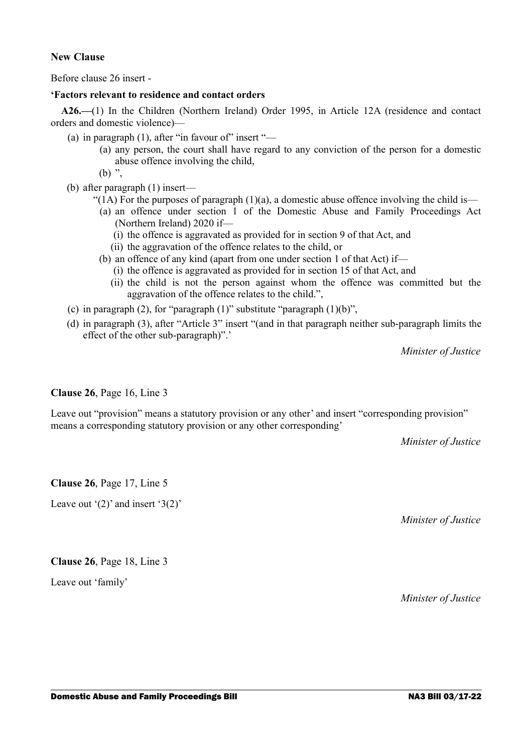#### **New Clause**

Before clause 26 insert -

#### **'Factors relevant to residence and contact orders**

**A26.—**(1) In the Children (Northern Ireland) Order 1995, in Article 12A (residence and contact orders and domestic violence)—

- (a) in paragraph  $(1)$ , after "in favour of" insert "—
	- (a) any person, the court shall have regard to any conviction of the person for a domestic abuse offence involving the child,

 $(b)$  ".

- (b) after paragraph (1) insert—
	- "(1A) For the purposes of paragraph  $(1)(a)$ , a domestic abuse offence involving the child is—
		- (a) an offence under section 1 of the Domestic Abuse and Family Proceedings Act (Northern Ireland) 2020 if—
			- (i) the offence is aggravated as provided for in section 9 of that Act, and
			- (ii) the aggravation of the offence relates to the child, or
		- (b) an offence of any kind (apart from one under section 1 of that Act) if—
			- (i) the offence is aggravated as provided for in section 15 of that Act, and
		- (ii) the child is not the person against whom the offence was committed but the aggravation of the offence relates to the child.",
- (c) in paragraph (2), for "paragraph  $(1)$ " substitute "paragraph  $(1)(b)$ ",
- (d) in paragraph (3), after "Article 3" insert "(and in that paragraph neither sub-paragraph limits the effect of the other sub-paragraph)".'

*Minister of Justice*

#### **Clause 26**, Page 16, Line 3

Leave out "provision" means a statutory provision or any other' and insert "corresponding provision" means a corresponding statutory provision or any other corresponding'

*Minister of Justice*

**Clause 26**, Page 17, Line 5

Leave out '(2)' and insert '3(2)'

*Minister of Justice*

#### **Clause 26**, Page 18, Line 3

Leave out 'family'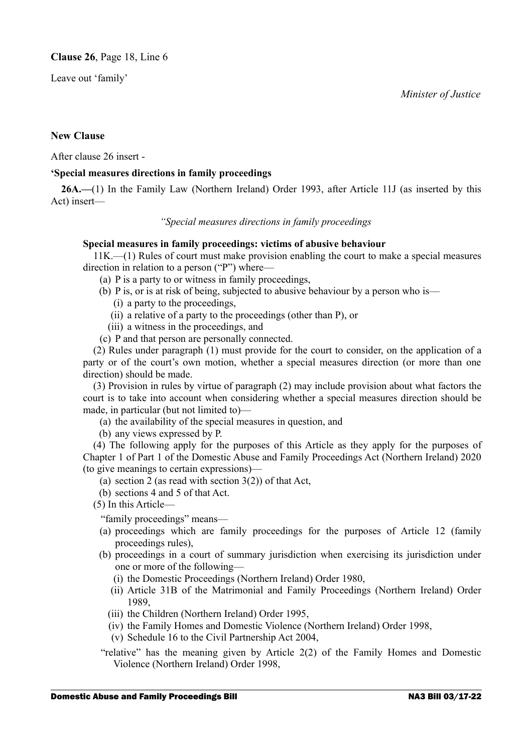*Minister of Justice*

Leave out 'family'

#### **New Clause**

After clause 26 insert -

#### **'Special measures directions in family proceedings**

**26A.—**(1) In the Family Law (Northern Ireland) Order 1993, after Article 11J (as inserted by this Act) insert—

#### *"Special measures directions in family proceedings*

#### **Special measures in family proceedings: victims of abusive behaviour**

11K.—(1) Rules of court must make provision enabling the court to make a special measures direction in relation to a person ("P") where—

- (a) P is a party to or witness in family proceedings,
- (b) P is, or is at risk of being, subjected to abusive behaviour by a person who is—
	- (i) a party to the proceedings,
	- (ii) a relative of a party to the proceedings (other than P), or
	- (iii) a witness in the proceedings, and
- (c) P and that person are personally connected.

(2) Rules under paragraph (1) must provide for the court to consider, on the application of a party or of the court's own motion, whether a special measures direction (or more than one direction) should be made.

(3) Provision in rules by virtue of paragraph (2) may include provision about what factors the court is to take into account when considering whether a special measures direction should be made, in particular (but not limited to)—

- (a) the availability of the special measures in question, and
- (b) any views expressed by P.

(4) The following apply for the purposes of this Article as they apply for the purposes of Chapter 1 of Part 1 of the Domestic Abuse and Family Proceedings Act (Northern Ireland) 2020 (to give meanings to certain expressions)—

- (a) section 2 (as read with section  $3(2)$ ) of that Act,
- (b) sections 4 and 5 of that Act.
- (5) In this Article—

"family proceedings" means—

- (a) proceedings which are family proceedings for the purposes of Article 12 (family proceedings rules),
- (b) proceedings in a court of summary jurisdiction when exercising its jurisdiction under one or more of the following—
	- (i) the Domestic Proceedings (Northern Ireland) Order 1980,
	- (ii) Article 31B of the Matrimonial and Family Proceedings (Northern Ireland) Order 1989,
	- (iii) the Children (Northern Ireland) Order 1995,
	- (iv) the Family Homes and Domestic Violence (Northern Ireland) Order 1998,
	- (v) Schedule 16 to the Civil Partnership Act 2004,
- "relative" has the meaning given by Article 2(2) of the Family Homes and Domestic Violence (Northern Ireland) Order 1998,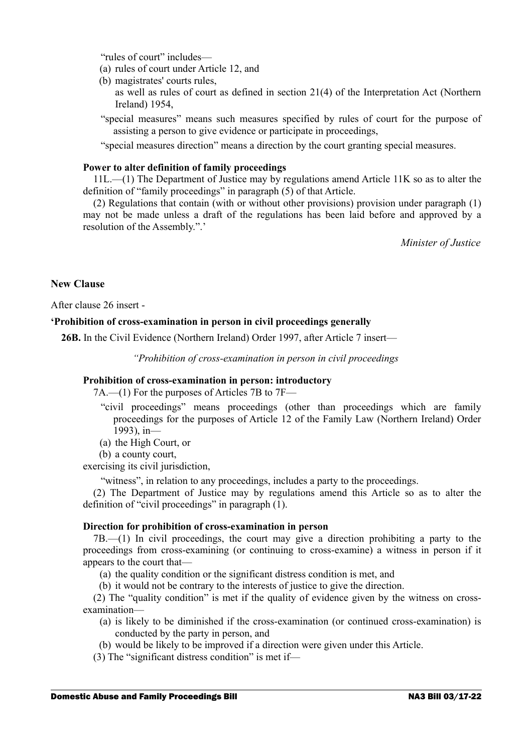"rules of court" includes—

- (a) rules of court under Article 12, and
- (b) magistrates' courts rules,
	- as well as rules of court as defined in section 21(4) of the Interpretation Act (Northern Ireland) 1954,
- "special measures" means such measures specified by rules of court for the purpose of assisting a person to give evidence or participate in proceedings,

"special measures direction" means a direction by the court granting special measures.

#### **Power to alter definition of family proceedings**

11L.—(1) The Department of Justice may by regulations amend Article 11K so as to alter the definition of "family proceedings" in paragraph (5) of that Article.

(2) Regulations that contain (with or without other provisions) provision under paragraph (1) may not be made unless a draft of the regulations has been laid before and approved by a resolution of the Assembly.".'

*Minister of Justice*

#### **New Clause**

After clause 26 insert -

#### **'Prohibition of cross-examination in person in civil proceedings generally**

**26B.** In the Civil Evidence (Northern Ireland) Order 1997, after Article 7 insert—

*"Prohibition of cross-examination in person in civil proceedings*

#### **Prohibition of cross-examination in person: introductory**

7A.—(1) For the purposes of Articles 7B to 7F—

- "civil proceedings" means proceedings (other than proceedings which are family proceedings for the purposes of Article 12 of the Family Law (Northern Ireland) Order 1993), in—
- (a) the High Court, or
- (b) a county court,

exercising its civil jurisdiction,

"witness", in relation to any proceedings, includes a party to the proceedings.

(2) The Department of Justice may by regulations amend this Article so as to alter the definition of "civil proceedings" in paragraph (1).

#### **Direction for prohibition of cross-examination in person**

7B.—(1) In civil proceedings, the court may give a direction prohibiting a party to the proceedings from cross-examining (or continuing to cross-examine) a witness in person if it appears to the court that—

(a) the quality condition or the significant distress condition is met, and

(b) it would not be contrary to the interests of justice to give the direction.

(2) The "quality condition" is met if the quality of evidence given by the witness on crossexamination—

- (a) is likely to be diminished if the cross-examination (or continued cross-examination) is conducted by the party in person, and
- (b) would be likely to be improved if a direction were given under this Article.
- (3) The "significant distress condition" is met if—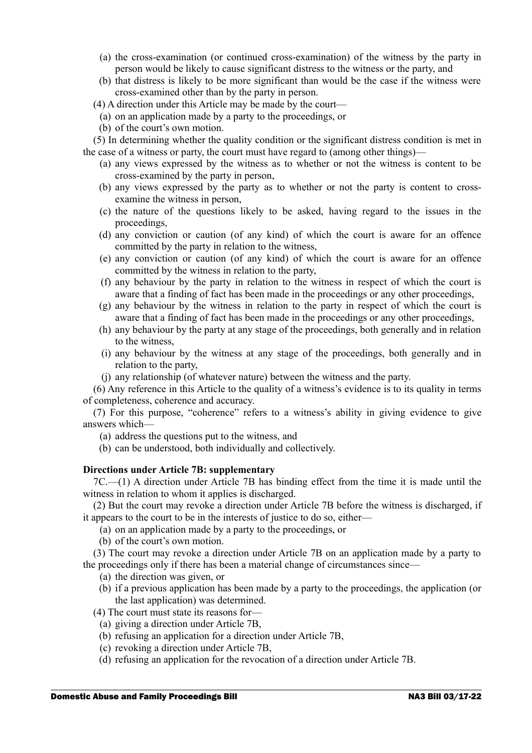- (a) the cross-examination (or continued cross-examination) of the witness by the party in person would be likely to cause significant distress to the witness or the party, and
- (b) that distress is likely to be more significant than would be the case if the witness were cross-examined other than by the party in person.
- (4) A direction under this Article may be made by the court—
	- (a) on an application made by a party to the proceedings, or
	- (b) of the court's own motion.

(5) In determining whether the quality condition or the significant distress condition is met in the case of a witness or party, the court must have regard to (among other things)—

- (a) any views expressed by the witness as to whether or not the witness is content to be cross-examined by the party in person,
- (b) any views expressed by the party as to whether or not the party is content to crossexamine the witness in person,
- (c) the nature of the questions likely to be asked, having regard to the issues in the proceedings,
- (d) any conviction or caution (of any kind) of which the court is aware for an offence committed by the party in relation to the witness,
- (e) any conviction or caution (of any kind) of which the court is aware for an offence committed by the witness in relation to the party,
- (f) any behaviour by the party in relation to the witness in respect of which the court is aware that a finding of fact has been made in the proceedings or any other proceedings,
- (g) any behaviour by the witness in relation to the party in respect of which the court is aware that a finding of fact has been made in the proceedings or any other proceedings,
- (h) any behaviour by the party at any stage of the proceedings, both generally and in relation to the witness,
- (i) any behaviour by the witness at any stage of the proceedings, both generally and in relation to the party,
- (j) any relationship (of whatever nature) between the witness and the party.

(6) Any reference in this Article to the quality of a witness's evidence is to its quality in terms of completeness, coherence and accuracy.

(7) For this purpose, "coherence" refers to a witness's ability in giving evidence to give answers which—

- (a) address the questions put to the witness, and
- (b) can be understood, both individually and collectively.

#### **Directions under Article 7B: supplementary**

7C.—(1) A direction under Article 7B has binding effect from the time it is made until the witness in relation to whom it applies is discharged.

(2) But the court may revoke a direction under Article 7B before the witness is discharged, if it appears to the court to be in the interests of justice to do so, either—

(a) on an application made by a party to the proceedings, or

(b) of the court's own motion.

(3) The court may revoke a direction under Article 7B on an application made by a party to the proceedings only if there has been a material change of circumstances since—

(a) the direction was given, or

- (b) if a previous application has been made by a party to the proceedings, the application (or the last application) was determined.
- (4) The court must state its reasons for—
	- (a) giving a direction under Article 7B,
	- (b) refusing an application for a direction under Article 7B,
	- (c) revoking a direction under Article 7B,
	- (d) refusing an application for the revocation of a direction under Article 7B.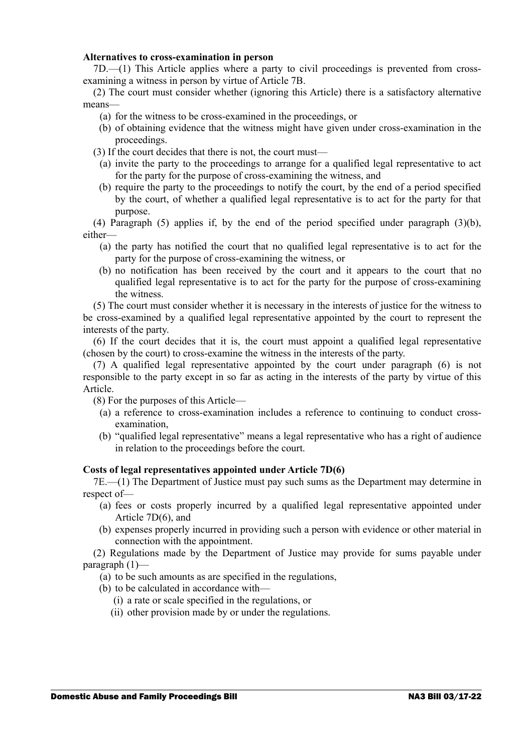#### **Alternatives to cross-examination in person**

7D.—(1) This Article applies where a party to civil proceedings is prevented from crossexamining a witness in person by virtue of Article 7B.

(2) The court must consider whether (ignoring this Article) there is a satisfactory alternative means—

- (a) for the witness to be cross-examined in the proceedings, or
- (b) of obtaining evidence that the witness might have given under cross-examination in the proceedings.
- (3) If the court decides that there is not, the court must—
	- (a) invite the party to the proceedings to arrange for a qualified legal representative to act for the party for the purpose of cross-examining the witness, and
	- (b) require the party to the proceedings to notify the court, by the end of a period specified by the court, of whether a qualified legal representative is to act for the party for that purpose.

(4) Paragraph (5) applies if, by the end of the period specified under paragraph (3)(b), either—

- (a) the party has notified the court that no qualified legal representative is to act for the party for the purpose of cross-examining the witness, or
- (b) no notification has been received by the court and it appears to the court that no qualified legal representative is to act for the party for the purpose of cross-examining the witness.

(5) The court must consider whether it is necessary in the interests of justice for the witness to be cross-examined by a qualified legal representative appointed by the court to represent the interests of the party.

(6) If the court decides that it is, the court must appoint a qualified legal representative (chosen by the court) to cross-examine the witness in the interests of the party.

(7) A qualified legal representative appointed by the court under paragraph (6) is not responsible to the party except in so far as acting in the interests of the party by virtue of this Article.

- (8) For the purposes of this Article—
	- (a) a reference to cross-examination includes a reference to continuing to conduct crossexamination,
	- (b) "qualified legal representative" means a legal representative who has a right of audience in relation to the proceedings before the court.

#### **Costs of legal representatives appointed under Article 7D(6)**

7E.—(1) The Department of Justice must pay such sums as the Department may determine in respect of—

- (a) fees or costs properly incurred by a qualified legal representative appointed under Article 7D(6), and
- (b) expenses properly incurred in providing such a person with evidence or other material in connection with the appointment.

(2) Regulations made by the Department of Justice may provide for sums payable under paragraph (1)—

- (a) to be such amounts as are specified in the regulations,
- (b) to be calculated in accordance with—
	- (i) a rate or scale specified in the regulations, or
	- (ii) other provision made by or under the regulations.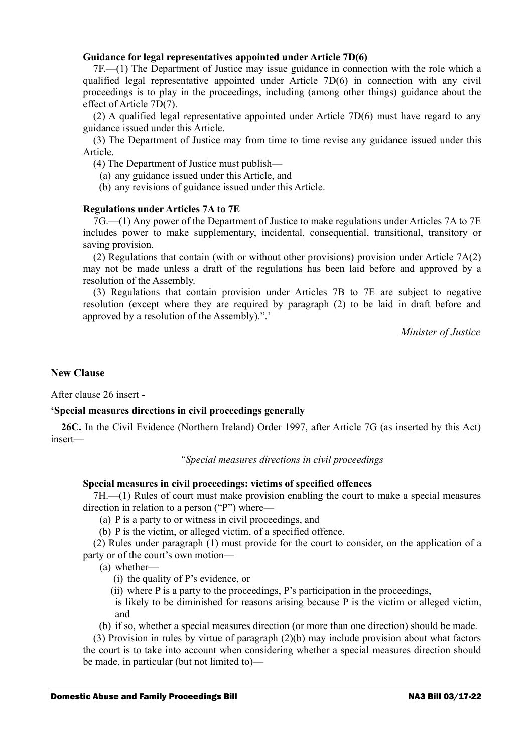#### **Guidance for legal representatives appointed under Article 7D(6)**

7F.—(1) The Department of Justice may issue guidance in connection with the role which a qualified legal representative appointed under Article 7D(6) in connection with any civil proceedings is to play in the proceedings, including (among other things) guidance about the effect of Article 7D(7).

(2) A qualified legal representative appointed under Article 7D(6) must have regard to any guidance issued under this Article.

(3) The Department of Justice may from time to time revise any guidance issued under this Article.

(4) The Department of Justice must publish—

- (a) any guidance issued under this Article, and
- (b) any revisions of guidance issued under this Article.

#### **Regulations under Articles 7A to 7E**

7G.—(1) Any power of the Department of Justice to make regulations under Articles 7A to 7E includes power to make supplementary, incidental, consequential, transitional, transitory or saving provision.

(2) Regulations that contain (with or without other provisions) provision under Article 7A(2) may not be made unless a draft of the regulations has been laid before and approved by a resolution of the Assembly.

(3) Regulations that contain provision under Articles 7B to 7E are subject to negative resolution (except where they are required by paragraph (2) to be laid in draft before and approved by a resolution of the Assembly).".'

*Minister of Justice*

#### **New Clause**

After clause 26 insert -

#### **'Special measures directions in civil proceedings generally**

**26C.** In the Civil Evidence (Northern Ireland) Order 1997, after Article 7G (as inserted by this Act) insert—

*"Special measures directions in civil proceedings*

#### **Special measures in civil proceedings: victims of specified offences**

7H.—(1) Rules of court must make provision enabling the court to make a special measures direction in relation to a person ("P") where—

(a) P is a party to or witness in civil proceedings, and

(b) P is the victim, or alleged victim, of a specified offence.

(2) Rules under paragraph (1) must provide for the court to consider, on the application of a party or of the court's own motion—

(a) whether—

- (i) the quality of P's evidence, or
- (ii) where P is a party to the proceedings, P's participation in the proceedings,
- is likely to be diminished for reasons arising because  $P$  is the victim or alleged victim, and
- (b) if so, whether a special measures direction (or more than one direction) should be made.

(3) Provision in rules by virtue of paragraph (2)(b) may include provision about what factors the court is to take into account when considering whether a special measures direction should be made, in particular (but not limited to)—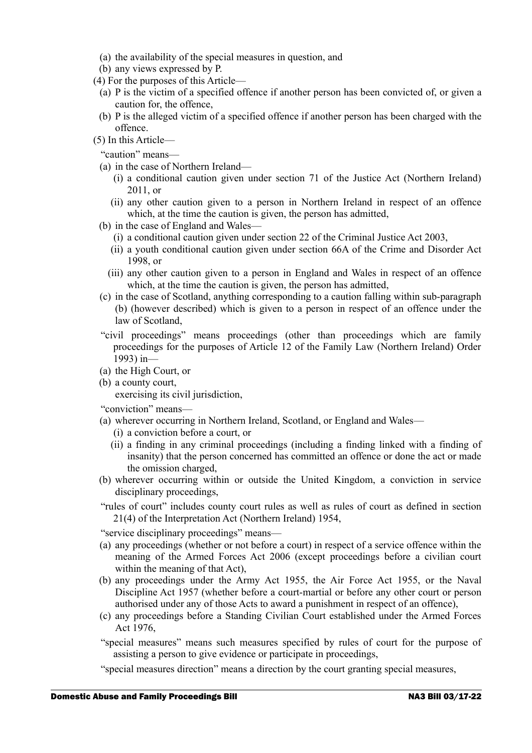- (a) the availability of the special measures in question, and
- (b) any views expressed by P.
- (4) For the purposes of this Article—
	- (a) P is the victim of a specified offence if another person has been convicted of, or given a caution for, the offence,
	- (b) P is the alleged victim of a specified offence if another person has been charged with the offence.
- (5) In this Article—
	- "caution" means—
	- (a) in the case of Northern Ireland—
		- (i) a conditional caution given under section 71 of the Justice Act (Northern Ireland) 2011, or
		- (ii) any other caution given to a person in Northern Ireland in respect of an offence which, at the time the caution is given, the person has admitted,
	- (b) in the case of England and Wales—
		- (i) a conditional caution given under section 22 of the Criminal Justice Act 2003,
		- (ii) a youth conditional caution given under section 66A of the Crime and Disorder Act 1998, or
		- (iii) any other caution given to a person in England and Wales in respect of an offence which, at the time the caution is given, the person has admitted,
	- (c) in the case of Scotland, anything corresponding to a caution falling within sub-paragraph (b) (however described) which is given to a person in respect of an offence under the law of Scotland,
	- "civil proceedings" means proceedings (other than proceedings which are family proceedings for the purposes of Article 12 of the Family Law (Northern Ireland) Order 1993) in—
	- (a) the High Court, or
	- (b) a county court,

exercising its civil jurisdiction,

- "conviction" means—
- (a) wherever occurring in Northern Ireland, Scotland, or England and Wales—
	- (i) a conviction before a court, or
	- (ii) a finding in any criminal proceedings (including a finding linked with a finding of insanity) that the person concerned has committed an offence or done the act or made the omission charged,
- (b) wherever occurring within or outside the United Kingdom, a conviction in service disciplinary proceedings,
- "rules of court" includes county court rules as well as rules of court as defined in section 21(4) of the Interpretation Act (Northern Ireland) 1954,

"service disciplinary proceedings" means—

- (a) any proceedings (whether or not before a court) in respect of a service offence within the meaning of the Armed Forces Act 2006 (except proceedings before a civilian court within the meaning of that Act),
- (b) any proceedings under the Army Act 1955, the Air Force Act 1955, or the Naval Discipline Act 1957 (whether before a court-martial or before any other court or person authorised under any of those Acts to award a punishment in respect of an offence),
- (c) any proceedings before a Standing Civilian Court established under the Armed Forces Act 1976,
- "special measures" means such measures specified by rules of court for the purpose of assisting a person to give evidence or participate in proceedings,
- "special measures direction" means a direction by the court granting special measures,